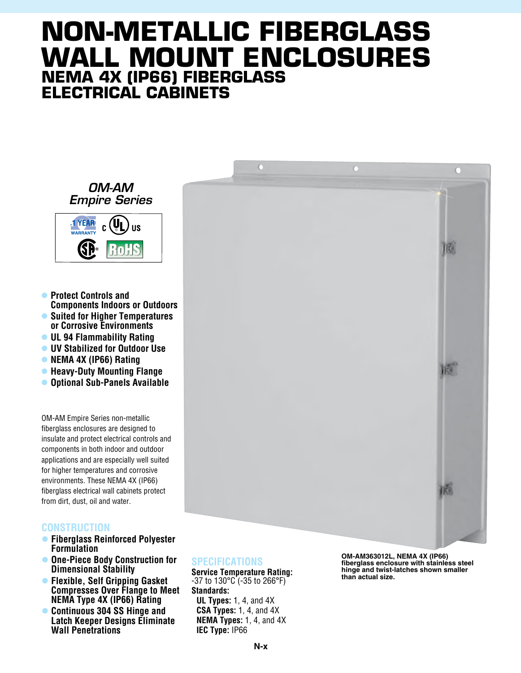## **Non-Metallic Fiberglass Wall Mount Enclosures NEMA 4X (IP66) fiberglass electrical cabinets**

 $\bullet$ 

 $\overline{O}$ 





- **Protect Controls and Components Indoors or Outdoors** l **Suited for Higher Temperatures or Corrosive Environments**
- **UL 94 Flammability Rating**
- $\bullet$  **UV Stabilized for Outdoor Use**
- **NEMA 4X (IP66) Rating**
- **Heavy-Duty Mounting Flange**
- **Optional Sub-Panels Available**

OM-AM Empire Series non-metallic fiberglass enclosures are designed to insulate and protect electrical controls and components in both indoor and outdoor applications and are especially well suited for higher temperatures and corrosive environments. These NEMA 4X (IP66) fiberglass electrical wall cabinets protect from dirt, dust, oil and water.

## **Construction**

- l **Fiberglass Reinforced Polyester Formulation**
- $\bullet$  **One-Piece Body Construction for Dimensional Stability**
- l **Flexible, Self Gripping Gasket Compresses Over Flange to Meet NEMA Type 4X (IP66) Rating**
- l **Continuous 304 SS Hinge and Latch Keeper Designs Eliminate Wall Penetrations**



**Service Temperature Rating:** -37 to 130°C (-35 to 266°F) **Standards: UL Types:** 1, 4, and 4X **CSA Types:** 1, 4, and 4X **NEMA Types:** 1, 4, and 4X **IEC Type:** IP66

**OM-AM363012L, NEMA 4X (IP66) fiberglass enclosure with stainless steel hinge and twist-latches shown smaller than actual size.**

TES.

IG.